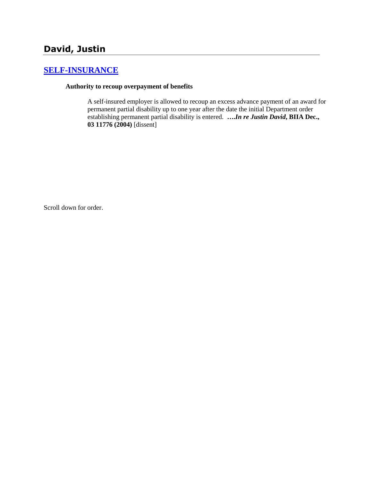# **[SELF-INSURANCE](http://www.biia.wa.gov/SDSubjectIndex.html#SELF_INSURANCE)**

#### **Authority to recoup overpayment of benefits**

A self-insured employer is allowed to recoup an excess advance payment of an award for permanent partial disability up to one year after the date the initial Department order establishing permanent partial disability is entered. **….***In re Justin David***, BIIA Dec., 03 11776 (2004)** [dissent]

Scroll down for order.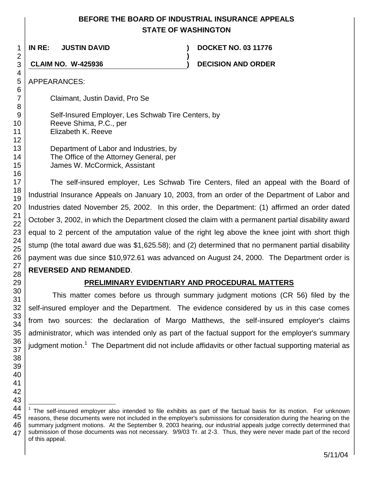# **BEFORE THE BOARD OF INDUSTRIAL INSURANCE APPEALS STATE OF WASHINGTON**

**)**

**IN RE: JUSTIN DAVID ) DOCKET NO. 03 11776**

**CLAIM NO. W-425936 ) DECISION AND ORDER**

APPEARANCES:

Claimant, Justin David, Pro Se

Self-Insured Employer, Les Schwab Tire Centers, by Reeve Shima, P.C., per Elizabeth K. Reeve

Department of Labor and Industries, by The Office of the Attorney General, per James W. McCormick, Assistant

The self-insured employer, Les Schwab Tire Centers, filed an appeal with the Board of Industrial Insurance Appeals on January 10, 2003, from an order of the Department of Labor and Industries dated November 25, 2002. In this order, the Department: (1) affirmed an order dated October 3, 2002, in which the Department closed the claim with a permanent partial disability award equal to 2 percent of the amputation value of the right leg above the knee joint with short thigh stump (the total award due was \$1,625.58); and (2) determined that no permanent partial disability payment was due since \$10,972.61 was advanced on August 24, 2000. The Department order is **REVERSED AND REMANDED**.

# **PRELIMINARY EVIDENTIARY AND PROCEDURAL MATTERS**

This matter comes before us through summary judgment motions (CR 56) filed by the self-insured employer and the Department. The evidence considered by us in this case comes from two sources: the declaration of Margo Matthews, the self-insured employer's claims administrator, which was intended only as part of the factual support for the employer's summary judgment motion.<sup>1</sup> The Department did not include affidavits or other factual supporting material as

l 1 The self-insured employer also intended to file exhibits as part of the factual basis for its motion. For unknown reasons, these documents were not included in the employer's submissions for consideration during the hearing on the summary judgment motions. At the September 9, 2003 hearing, our industrial appeals judge correctly determined that submission of those documents was not necessary. 9/9/03 Tr. at 2-3. Thus, they were never made part of the record of this appeal.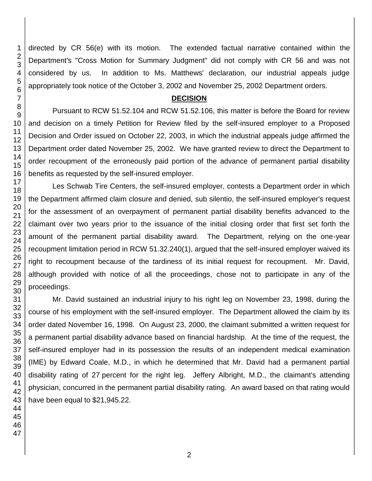directed by CR 56(e) with its motion. The extended factual narrative contained within the Department's "Cross Motion for Summary Judgment" did not comply with CR 56 and was not considered by us. In addition to Ms. Matthews' declaration, our industrial appeals judge appropriately took notice of the October 3, 2002 and November 25, 2002 Department orders.

## **DECISION**

Pursuant to RCW 51.52.104 and RCW 51.52.106, this matter is before the Board for review and decision on a timely Petition for Review filed by the self-insured employer to a Proposed Decision and Order issued on October 22, 2003, in which the industrial appeals judge affirmed the Department order dated November 25, 2002. We have granted review to direct the Department to order recoupment of the erroneously paid portion of the advance of permanent partial disability benefits as requested by the self-insured employer.

Les Schwab Tire Centers, the self-insured employer, contests a Department order in which the Department affirmed claim closure and denied, sub silentio, the self-insured employer's request for the assessment of an overpayment of permanent partial disability benefits advanced to the claimant over two years prior to the issuance of the initial closing order that first set forth the amount of the permanent partial disability award. The Department, relying on the one-year recoupment limitation period in RCW 51.32.240(1), argued that the self-insured employer waived its right to recoupment because of the tardiness of its initial request for recoupment. Mr. David, although provided with notice of all the proceedings, chose not to participate in any of the proceedings.

Mr. David sustained an industrial injury to his right leg on November 23, 1998, during the course of his employment with the self-insured employer. The Department allowed the claim by its order dated November 16, 1998. On August 23, 2000, the claimant submitted a written request for a permanent partial disability advance based on financial hardship. At the time of the request, the self-insured employer had in its possession the results of an independent medical examination (IME) by Edward Coale, M.D., in which he determined that Mr. David had a permanent partial disability rating of 27 percent for the right leg. Jeffery Albright, M.D., the claimant's attending physician, concurred in the permanent partial disability rating. An award based on that rating would have been equal to \$21,945.22.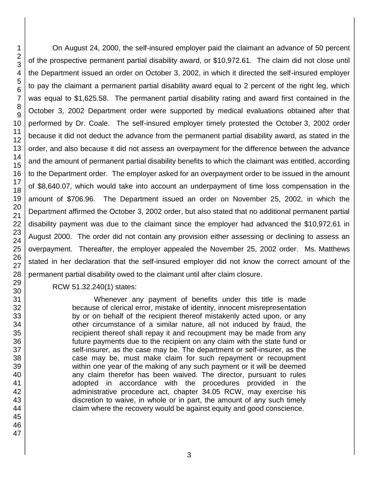On August 24, 2000, the self-insured employer paid the claimant an advance of 50 percent of the prospective permanent partial disability award, or \$10,972.61. The claim did not close until the Department issued an order on October 3, 2002, in which it directed the self-insured employer to pay the claimant a permanent partial disability award equal to 2 percent of the right leg, which was equal to \$1,625.58. The permanent partial disability rating and award first contained in the October 3, 2002 Department order were supported by medical evaluations obtained after that performed by Dr. Coale. The self-insured employer timely protested the October 3, 2002 order because it did not deduct the advance from the permanent partial disability award, as stated in the order, and also because it did not assess an overpayment for the difference between the advance and the amount of permanent partial disability benefits to which the claimant was entitled, according to the Department order. The employer asked for an overpayment order to be issued in the amount of \$8,640.07, which would take into account an underpayment of time loss compensation in the amount of \$706.96. The Department issued an order on November 25, 2002, in which the Department affirmed the October 3, 2002 order, but also stated that no additional permanent partial disability payment was due to the claimant since the employer had advanced the \$10,972.61 in August 2000. The order did not contain any provision either assessing or declining to assess an overpayment. Thereafter, the employer appealed the November 25, 2002 order. Ms. Matthews stated in her declaration that the self-insured employer did not know the correct amount of the permanent partial disability owed to the claimant until after claim closure.

RCW 51.32.240(1) states:

Whenever any payment of benefits under this title is made because of clerical error, mistake of identity, innocent misrepresentation by or on behalf of the recipient thereof mistakenly acted upon, or any other circumstance of a similar nature, all not induced by fraud, the recipient thereof shall repay it and recoupment may be made from any future payments due to the recipient on any claim with the state fund or self-insurer, as the case may be. The department or self-insurer, as the case may be, must make claim for such repayment or recoupment within one year of the making of any such payment or it will be deemed any claim therefor has been waived. The director, pursuant to rules adopted in accordance with the procedures provided in the administrative procedure act, chapter 34.05 RCW, may exercise his discretion to waive, in whole or in part, the amount of any such timely claim where the recovery would be against equity and good conscience.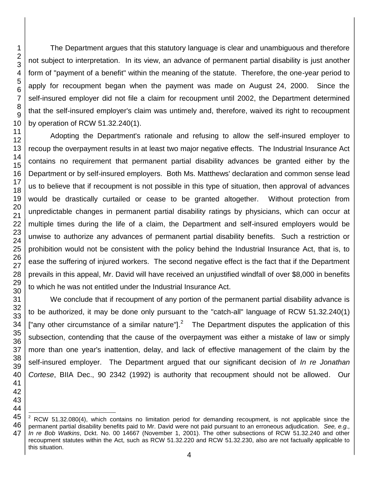l

The Department argues that this statutory language is clear and unambiguous and therefore not subject to interpretation. In its view, an advance of permanent partial disability is just another form of "payment of a benefit" within the meaning of the statute. Therefore, the one-year period to apply for recoupment began when the payment was made on August 24, 2000. Since the self-insured employer did not file a claim for recoupment until 2002, the Department determined that the self-insured employer's claim was untimely and, therefore, waived its right to recoupment by operation of RCW 51.32.240(1).

Adopting the Department's rationale and refusing to allow the self-insured employer to recoup the overpayment results in at least two major negative effects. The Industrial Insurance Act contains no requirement that permanent partial disability advances be granted either by the Department or by self-insured employers. Both Ms. Matthews' declaration and common sense lead us to believe that if recoupment is not possible in this type of situation, then approval of advances would be drastically curtailed or cease to be granted altogether. Without protection from unpredictable changes in permanent partial disability ratings by physicians, which can occur at multiple times during the life of a claim, the Department and self-insured employers would be unwise to authorize any advances of permanent partial disability benefits. Such a restriction or prohibition would not be consistent with the policy behind the Industrial Insurance Act, that is, to ease the suffering of injured workers. The second negative effect is the fact that if the Department prevails in this appeal, Mr. David will have received an unjustified windfall of over \$8,000 in benefits to which he was not entitled under the Industrial Insurance Act.

We conclude that if recoupment of any portion of the permanent partial disability advance is to be authorized, it may be done only pursuant to the "catch-all" language of RCW 51.32.240(1) ["any other circumstance of a similar nature"].<sup>2</sup> The Department disputes the application of this subsection, contending that the cause of the overpayment was either a mistake of law or simply more than one year's inattention, delay, and lack of effective management of the claim by the self-insured employer. The Department argued that our significant decision of *In re Jonathan Cortese*, BIIA Dec., 90 2342 (1992) is authority that recoupment should not be allowed. Our

 RCW 51.32.080(4), which contains no limitation period for demanding recoupment, is not applicable since the permanent partial disability benefits paid to Mr. David were not paid pursuant to an erroneous adjudication. *See, e.g., In re Bob Watkins*, Dckt. No. 00 14667 (November 1, 2001). The other subsections of RCW 51.32.240 and other recoupment statutes within the Act, such as RCW 51.32.220 and RCW 51.32.230, also are not factually applicable to this situation.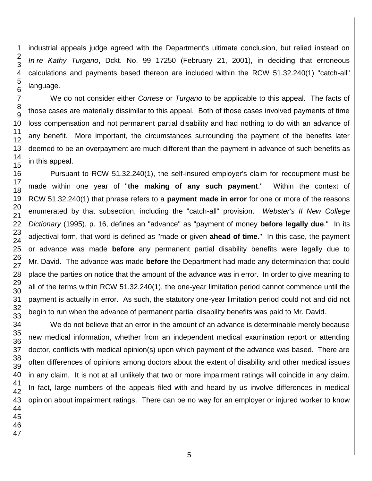industrial appeals judge agreed with the Department's ultimate conclusion, but relied instead on *In re Kathy Turgano*, Dckt. No. 99 17250 (February 21, 2001), in deciding that erroneous calculations and payments based thereon are included within the RCW 51.32.240(1) "catch-all" language.

We do not consider either *Cortese* or *Turgano* to be applicable to this appeal. The facts of those cases are materially dissimilar to this appeal. Both of those cases involved payments of time loss compensation and not permanent partial disability and had nothing to do with an advance of any benefit. More important, the circumstances surrounding the payment of the benefits later deemed to be an overpayment are much different than the payment in advance of such benefits as in this appeal.

Pursuant to RCW 51.32.240(1), the self-insured employer's claim for recoupment must be made within one year of "**the making of any such payment**." Within the context of RCW 51.32.240(1) that phrase refers to a **payment made in error** for one or more of the reasons enumerated by that subsection, including the "catch-all" provision. *Webster's II New College Dictionary* (1995), p. 16, defines an "advance" as "payment of money **before legally due**." In its adjectival form, that word is defined as "made or given **ahead of time**." In this case, the payment or advance was made **before** any permanent partial disability benefits were legally due to Mr. David. The advance was made **before** the Department had made any determination that could place the parties on notice that the amount of the advance was in error. In order to give meaning to all of the terms within RCW 51.32.240(1), the one-year limitation period cannot commence until the payment is actually in error. As such, the statutory one-year limitation period could not and did not begin to run when the advance of permanent partial disability benefits was paid to Mr. David.

We do not believe that an error in the amount of an advance is determinable merely because new medical information, whether from an independent medical examination report or attending doctor, conflicts with medical opinion(s) upon which payment of the advance was based. There are often differences of opinions among doctors about the extent of disability and other medical issues in any claim. It is not at all unlikely that two or more impairment ratings will coincide in any claim. In fact, large numbers of the appeals filed with and heard by us involve differences in medical opinion about impairment ratings. There can be no way for an employer or injured worker to know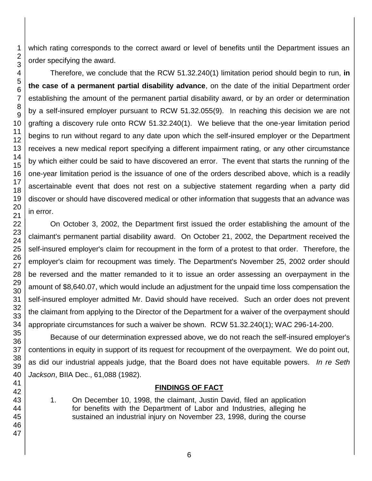which rating corresponds to the correct award or level of benefits until the Department issues an order specifying the award.

Therefore, we conclude that the RCW 51.32.240(1) limitation period should begin to run, **in the case of a permanent partial disability advance**, on the date of the initial Department order establishing the amount of the permanent partial disability award, or by an order or determination by a self-insured employer pursuant to RCW 51.32.055(9). In reaching this decision we are not grafting a discovery rule onto RCW 51.32.240(1). We believe that the one-year limitation period begins to run without regard to any date upon which the self-insured employer or the Department receives a new medical report specifying a different impairment rating, or any other circumstance by which either could be said to have discovered an error. The event that starts the running of the one-year limitation period is the issuance of one of the orders described above, which is a readily ascertainable event that does not rest on a subjective statement regarding when a party did discover or should have discovered medical or other information that suggests that an advance was in error.

On October 3, 2002, the Department first issued the order establishing the amount of the claimant's permanent partial disability award. On October 21, 2002, the Department received the self-insured employer's claim for recoupment in the form of a protest to that order. Therefore, the employer's claim for recoupment was timely. The Department's November 25, 2002 order should be reversed and the matter remanded to it to issue an order assessing an overpayment in the amount of \$8,640.07, which would include an adjustment for the unpaid time loss compensation the self-insured employer admitted Mr. David should have received. Such an order does not prevent the claimant from applying to the Director of the Department for a waiver of the overpayment should appropriate circumstances for such a waiver be shown. RCW 51.32.240(1); WAC 296-14-200.

Because of our determination expressed above, we do not reach the self-insured employer's contentions in equity in support of its request for recoupment of the overpayment. We do point out, as did our industrial appeals judge, that the Board does not have equitable powers. *In re Seth Jackson*, BIIA Dec., 61,088 (1982).

## **FINDINGS OF FACT**

1. On December 10, 1998, the claimant, Justin David, filed an application for benefits with the Department of Labor and Industries, alleging he sustained an industrial injury on November 23, 1998, during the course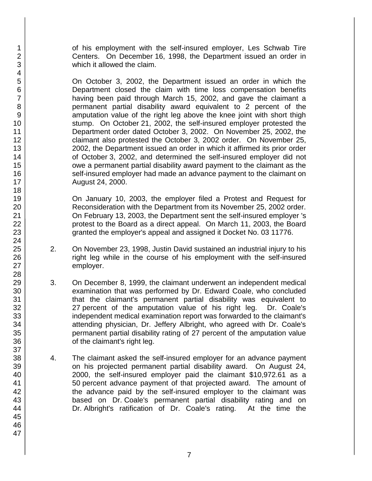of his employment with the self-insured employer, Les Schwab Tire Centers. On December 16, 1998, the Department issued an order in which it allowed the claim.

On October 3, 2002, the Department issued an order in which the Department closed the claim with time loss compensation benefits having been paid through March 15, 2002, and gave the claimant a permanent partial disability award equivalent to 2 percent of the amputation value of the right leg above the knee joint with short thigh stump. On October 21, 2002, the self-insured employer protested the Department order dated October 3, 2002. On November 25, 2002, the claimant also protested the October 3, 2002 order. On November 25, 2002, the Department issued an order in which it affirmed its prior order of October 3, 2002, and determined the self-insured employer did not owe a permanent partial disability award payment to the claimant as the self-insured employer had made an advance payment to the claimant on August 24, 2000.

On January 10, 2003, the employer filed a Protest and Request for Reconsideration with the Department from its November 25, 2002 order. On February 13, 2003, the Department sent the self-insured employer 's protest to the Board as a direct appeal. On March 11, 2003, the Board granted the employer's appeal and assigned it Docket No. 03 11776.

- 2. On November 23, 1998, Justin David sustained an industrial injury to his right leg while in the course of his employment with the self-insured employer.
- 3. On December 8, 1999, the claimant underwent an independent medical examination that was performed by Dr. Edward Coale, who concluded that the claimant's permanent partial disability was equivalent to 27 percent of the amputation value of his right leg. Dr. Coale's independent medical examination report was forwarded to the claimant's attending physician, Dr. Jeffery Albright, who agreed with Dr. Coale's permanent partial disability rating of 27 percent of the amputation value of the claimant's right leg.
- 4. The claimant asked the self-insured employer for an advance payment on his projected permanent partial disability award. On August 24, 2000, the self-insured employer paid the claimant \$10,972.61 as a 50 percent advance payment of that projected award. The amount of the advance paid by the self-insured employer to the claimant was based on Dr. Coale's permanent partial disability rating and on Dr. Albright's ratification of Dr. Coale's rating. At the time the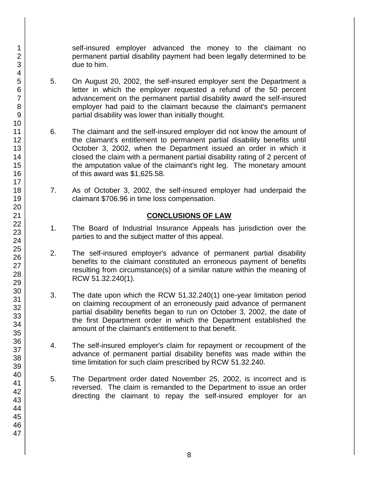self-insured employer advanced the money to the claimant no permanent partial disability payment had been legally determined to be due to him.

- 5. On August 20, 2002, the self-insured employer sent the Department a letter in which the employer requested a refund of the 50 percent advancement on the permanent partial disability award the self-insured employer had paid to the claimant because the claimant's permanent partial disability was lower than initially thought.
- 6. The claimant and the self-insured employer did not know the amount of the claimant's entitlement to permanent partial disability benefits until October 3, 2002, when the Department issued an order in which it closed the claim with a permanent partial disability rating of 2 percent of the amputation value of the claimant's right leg. The monetary amount of this award was \$1,625.58.
- 7. As of October 3, 2002, the self-insured employer had underpaid the claimant \$706.96 in time loss compensation.

## **CONCLUSIONS OF LAW**

- 1. The Board of Industrial Insurance Appeals has jurisdiction over the parties to and the subject matter of this appeal.
- 2. The self-insured employer's advance of permanent partial disability benefits to the claimant constituted an erroneous payment of benefits resulting from circumstance(s) of a similar nature within the meaning of RCW 51.32.240(1).
- 3. The date upon which the RCW 51.32.240(1) one-year limitation period on claiming recoupment of an erroneously paid advance of permanent partial disability benefits began to run on October 3, 2002, the date of the first Department order in which the Department established the amount of the claimant's entitlement to that benefit.
- 4. The self-insured employer's claim for repayment or recoupment of the advance of permanent partial disability benefits was made within the time limitation for such claim prescribed by RCW 51.32.240.
- 5. The Department order dated November 25, 2002, is incorrect and is reversed. The claim is remanded to the Department to issue an order directing the claimant to repay the self-insured employer for an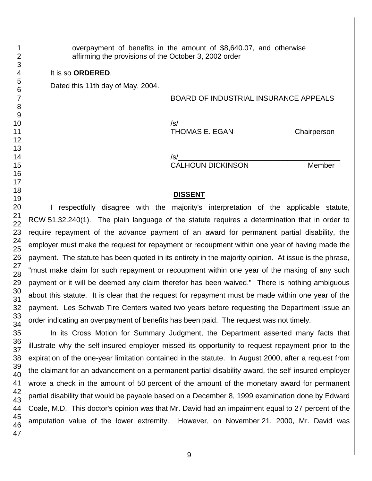overpayment of benefits in the amount of \$8,640.07, and otherwise affirming the provisions of the October 3, 2002 order

### It is so **ORDERED**.

Dated this 11th day of May, 2004.

## BOARD OF INDUSTRIAL INSURANCE APPEALS

/s/\_\_\_\_\_\_\_\_\_\_\_\_\_\_\_\_\_\_\_\_\_\_\_\_\_\_\_\_\_\_\_\_\_\_\_\_\_\_\_\_ THOMAS E. EGAN Chairperson

/s/\_\_\_\_\_\_\_\_\_\_\_\_\_\_\_\_\_\_\_\_\_\_\_\_\_\_\_\_\_\_\_\_\_\_\_\_\_\_\_\_

CALHOUN DICKINSON Member

## **DISSENT**

I respectfully disagree with the majority's interpretation of the applicable statute, RCW 51.32.240(1). The plain language of the statute requires a determination that in order to require repayment of the advance payment of an award for permanent partial disability, the employer must make the request for repayment or recoupment within one year of having made the payment. The statute has been quoted in its entirety in the majority opinion. At issue is the phrase, "must make claim for such repayment or recoupment within one year of the making of any such payment or it will be deemed any claim therefor has been waived." There is nothing ambiguous about this statute. It is clear that the request for repayment must be made within one year of the payment. Les Schwab Tire Centers waited two years before requesting the Department issue an order indicating an overpayment of benefits has been paid. The request was not timely.

In its Cross Motion for Summary Judgment, the Department asserted many facts that illustrate why the self-insured employer missed its opportunity to request repayment prior to the expiration of the one-year limitation contained in the statute. In August 2000, after a request from the claimant for an advancement on a permanent partial disability award, the self-insured employer wrote a check in the amount of 50 percent of the amount of the monetary award for permanent partial disability that would be payable based on a December 8, 1999 examination done by Edward Coale, M.D. This doctor's opinion was that Mr. David had an impairment equal to 27 percent of the amputation value of the lower extremity. However, on November 21, 2000, Mr. David was